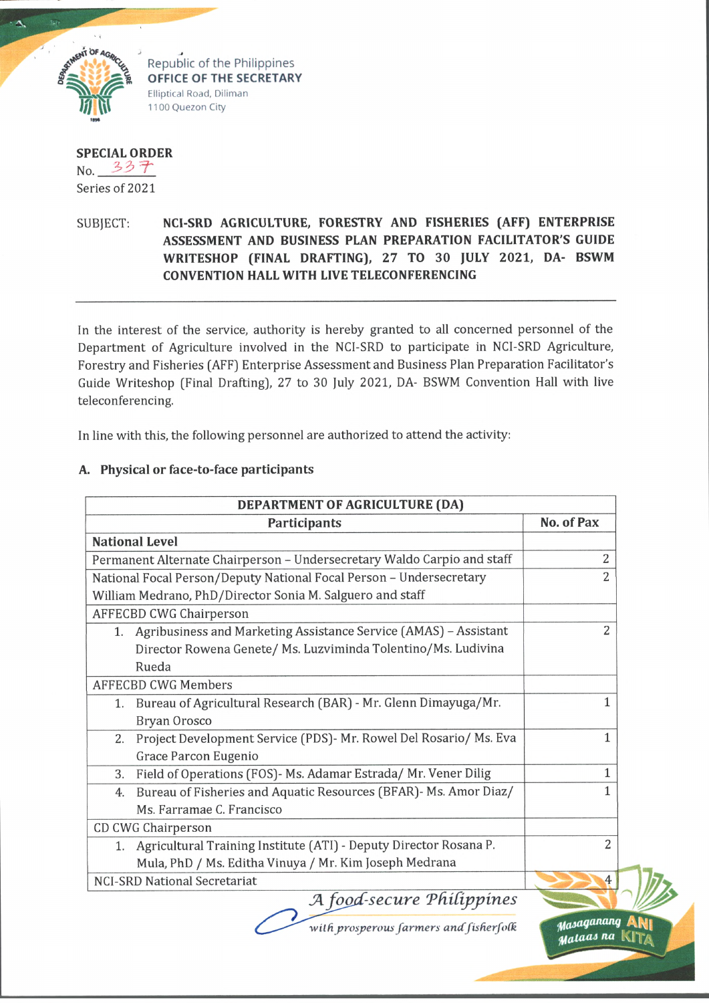

Republic of the Philippines **OFFICE OF THE SECRETARY** Elliptical Road, Diliman 1100 Quezon City

**SPECIAL ORDER**  $No. 337$ Series of 2021

## SUBJECT. **NCI-SRD AGRICULTURE, FORESTRY AND FISHERIES (AFF) ENTERPRISE ASSESSMENT AND BUSINESS PLAN PREPARATION FACILITATOR'S GUIDE WRITESHOP (FINAL DRAFTING), 27 TO 30 JULY 2021, DA- BSWM CONVENTION HALL WITH LIVE TELECONFERENCING**

In the interest of the service, authority is hereby granted to all concerned personnel of the Department of Agriculture involved in the NCI-SRD to participate in NCI-SRD Agriculture, Forestry and Fisheries (AFF) Enterprise Assessment and Business Plan Preparation Facilitator's Guide Writeshop (Final Drafting), 27 to 30 July 2021, DA- BSWM Convention Hall with live teleconferencing.

In line with this, the following personnel are authorized to attend the activity:

## **A. Physical or face-to-face participants**

| DEPARTMENT OF AGRICULTURE (DA)                                          |                         |  |
|-------------------------------------------------------------------------|-------------------------|--|
| Participants                                                            | No. of Pax              |  |
| <b>National Level</b>                                                   |                         |  |
| Permanent Alternate Chairperson - Undersecretary Waldo Carpio and staff | 2                       |  |
| National Focal Person/Deputy National Focal Person - Undersecretary     | $\overline{2}$          |  |
| William Medrano, PhD/Director Sonia M. Salguero and staff               |                         |  |
| <b>AFFECBD CWG Chairperson</b>                                          |                         |  |
| Agribusiness and Marketing Assistance Service (AMAS) - Assistant<br>1.  | $\overline{2}$          |  |
| Director Rowena Genete/ Ms. Luzviminda Tolentino/Ms. Ludivina           |                         |  |
| Rueda                                                                   |                         |  |
| <b>AFFECBD CWG Members</b>                                              |                         |  |
| Bureau of Agricultural Research (BAR) - Mr. Glenn Dimayuga/Mr.<br>1.    | 1                       |  |
| Bryan Orosco                                                            |                         |  |
| Project Development Service (PDS)- Mr. Rowel Del Rosario/ Ms. Eva<br>2. | 1                       |  |
| Grace Parcon Eugenio                                                    |                         |  |
| Field of Operations (FOS)- Ms. Adamar Estrada/ Mr. Vener Dilig<br>3.    | 1                       |  |
| Bureau of Fisheries and Aquatic Resources (BFAR)- Ms. Amor Diaz/<br>4.  | 1                       |  |
| Ms. Farramae C. Francisco                                               |                         |  |
| CD CWG Chairperson                                                      |                         |  |
| Agricultural Training Institute (ATI) - Deputy Director Rosana P.<br>1. | $\overline{2}$          |  |
| Mula, PhD / Ms. Editha Vinuya / Mr. Kim Joseph Medrana                  |                         |  |
| <b>NCI-SRD National Secretariat</b>                                     | 4                       |  |
| A food-secure Philippines                                               |                         |  |
| with prosperous farmers and fisherfolk                                  | Masaganang<br>Mataas na |  |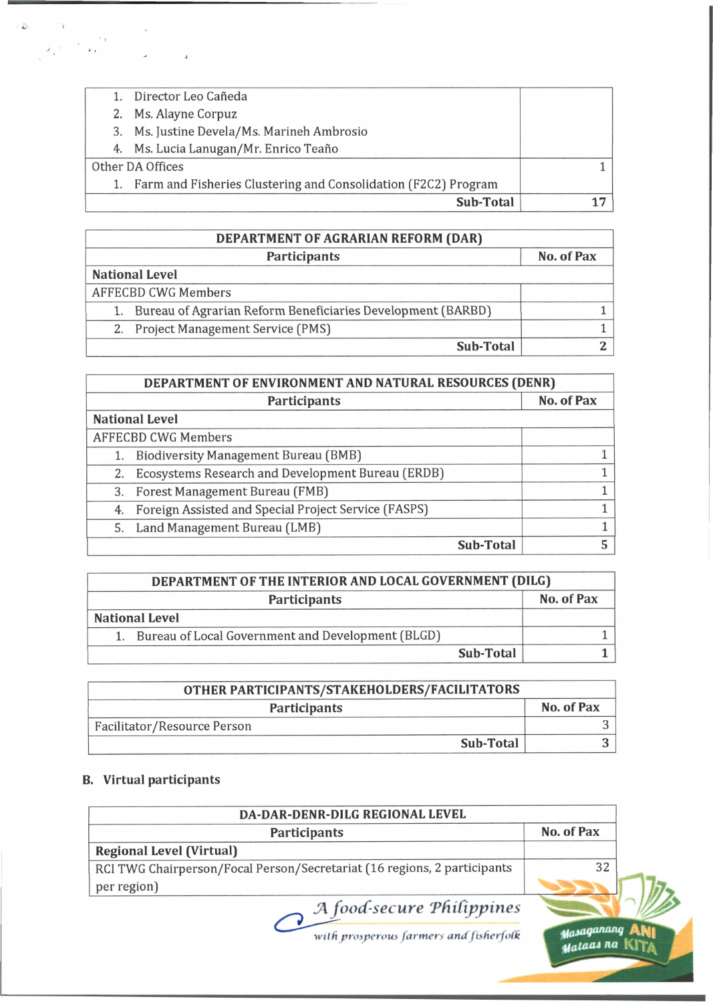| 4. Ms. Lucia Lanugan/Mr. Enrico Teaño<br>1. Farm and Fisheries Clustering and Consolidation (F2C2) Program |  |
|------------------------------------------------------------------------------------------------------------|--|
|                                                                                                            |  |
|                                                                                                            |  |
|                                                                                                            |  |
| 3. Ms. Justine Devela/Ms. Marineh Ambrosio                                                                 |  |
|                                                                                                            |  |
|                                                                                                            |  |
|                                                                                                            |  |

| DEPARTMENT OF AGRARIAN REFORM (DAR)                         |            |  |
|-------------------------------------------------------------|------------|--|
| <b>Participants</b>                                         | No. of Pax |  |
| <b>National Level</b>                                       |            |  |
| AFFECBD CWG Members                                         |            |  |
| Bureau of Agrarian Reform Beneficiaries Development (BARBD) |            |  |
| 2. Project Management Service (PMS)                         |            |  |
| <b>Sub-Total</b>                                            |            |  |

| DEPARTMENT OF ENVIRONMENT AND NATURAL RESOURCES (DENR) |                                                         |            |
|--------------------------------------------------------|---------------------------------------------------------|------------|
| Participants                                           |                                                         | No. of Pax |
|                                                        | <b>National Level</b>                                   |            |
|                                                        | <b>AFFECBD CWG Members</b>                              |            |
|                                                        | 1. Biodiversity Management Bureau (BMB)                 |            |
| 2.                                                     | Ecosystems Research and Development Bureau (ERDB)       |            |
|                                                        | 3. Forest Management Bureau (FMB)                       |            |
|                                                        | 4. Foreign Assisted and Special Project Service (FASPS) |            |
|                                                        | 5. Land Management Bureau (LMB)                         |            |
|                                                        | <b>Sub-Total</b>                                        |            |

| DEPARTMENT OF THE INTERIOR AND LOCAL GOVERNMENT (DILG) |                                                      |            |
|--------------------------------------------------------|------------------------------------------------------|------------|
| <b>Participants</b>                                    |                                                      | No. of Pax |
|                                                        | <b>National Level</b>                                |            |
|                                                        | 1. Bureau of Local Government and Development (BLGD) |            |
|                                                        | Sub-Total                                            |            |

| OTHER PARTICIPANTS/STAKEHOLDERS/FACILITATORS |            |  |
|----------------------------------------------|------------|--|
| <b>Participants</b>                          | No. of Pax |  |
| Facilitator/Resource Person                  |            |  |
| <b>Sub-Total</b>                             |            |  |

## **B. Virtual participants**

 $\mathcal{L}$  .

 $\bar{\bf 1}$ 

 $\bar{\epsilon}$  ,

 $x_{\alpha}$  .

| DA-DAR-DENR-DILG REGIONAL LEVEL                                          |            |
|--------------------------------------------------------------------------|------------|
| Participants                                                             | No. of Pax |
| <b>Regional Level (Virtual)</b>                                          |            |
| RCI TWG Chairperson/Focal Person/Secretariat (16 regions, 2 participants | 32         |
| per region)                                                              |            |
| A food-secure Philippines                                                |            |
| with prosperous farmers and fisherfolk                                   |            |